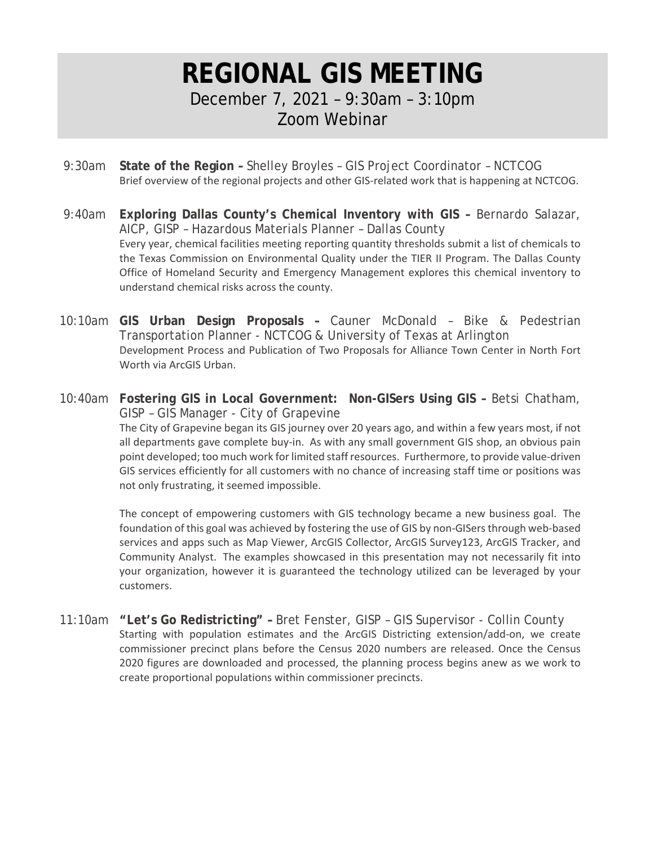## **REGIONAL GIS MEETING** December 7, 2021 – 9:30am – 3:10pm

Zoom Webinar

- 9:30am **State of the Region –** Shelley Broyles GIS Project Coordinator NCTCOG Brief overview of the regional projects and other GIS-related work that is happening at NCTCOG.
- 9:40am **Exploring Dallas County's Chemical Inventory with GIS –** Bernardo Salazar, AICP, GISP – Hazardous Materials Planner – Dallas County Every year, chemical facilities meeting reporting quantity thresholds submit a list of chemicals to the Texas Commission on Environmental Quality under the TIER II Program. The Dallas County Office of Homeland Security and Emergency Management explores this chemical inventory to understand chemical risks across the county.
- 10:10am **GIS Urban Design Proposals –** Cauner McDonald Bike & Pedestrian Transportation Planner - NCTCOG & University of Texas at Arlington Development Process and Publication of Two Proposals for Alliance Town Center in North Fort Worth via ArcGIS Urban.
- 10:40am **Fostering GIS in Local Government: Non-GISers Using GIS –** Betsi Chatham, GISP – GIS Manager - City of Grapevine The City of Grapevine began its GIS journey over 20 years ago, and within a few years most, if not all departments gave complete buy-in. As with any small government GIS shop, an obvious pain point developed; too much work for limited staff resources. Furthermore, to provide value-driven GIS services efficiently for all customers with no chance of increasing staff time or positions was not only frustrating, it seemed impossible.

The concept of empowering customers with GIS technology became a new business goal. The foundation of this goal was achieved by fostering the use of GIS by non-GISers through web-based services and apps such as Map Viewer, ArcGIS Collector, ArcGIS Survey123, ArcGIS Tracker, and Community Analyst. The examples showcased in this presentation may not necessarily fit into your organization, however it is guaranteed the technology utilized can be leveraged by your customers.

11:10am **"Let's Go Redistricting" –** Bret Fenster, GISP – GIS Supervisor - Collin County Starting with population estimates and the ArcGIS Districting extension/add-on, we create commissioner precinct plans before the Census 2020 numbers are released. Once the Census 2020 figures are downloaded and processed, the planning process begins anew as we work to create proportional populations within commissioner precincts.